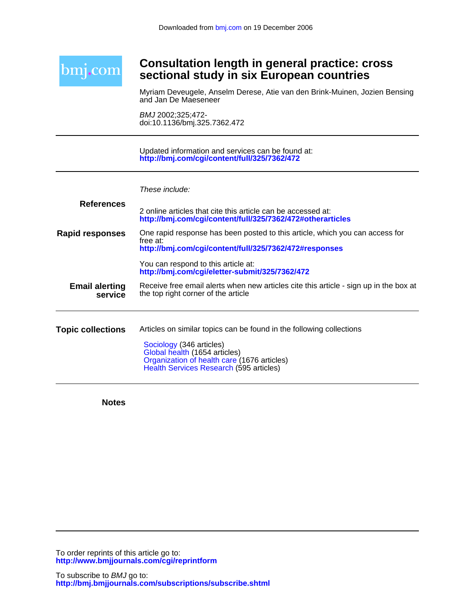

# **sectional study in six European countries Consultation length in general practice: cross**

and Jan De Maeseneer Myriam Deveugele, Anselm Derese, Atie van den Brink-Muinen, Jozien Bensing

doi:10.1136/bmj.325.7362.472 BMJ 2002;325;472-

**<http://bmj.com/cgi/content/full/325/7362/472>** Updated information and services can be found at:

| These include: |  |
|----------------|--|
|                |  |
|                |  |
|                |  |

| <b>References</b>                | 2 online articles that cite this article can be accessed at:<br>http://bmj.com/cgi/content/full/325/7362/472#otherarticles                                                                                                  |
|----------------------------------|-----------------------------------------------------------------------------------------------------------------------------------------------------------------------------------------------------------------------------|
| <b>Rapid responses</b>           | One rapid response has been posted to this article, which you can access for<br>free at:<br>http://bmj.com/cgi/content/full/325/7362/472#responses                                                                          |
|                                  | You can respond to this article at:<br>http://bmj.com/cgi/eletter-submit/325/7362/472                                                                                                                                       |
| <b>Email alerting</b><br>service | Receive free email alerts when new articles cite this article - sign up in the box at<br>the top right corner of the article                                                                                                |
| <b>Topic collections</b>         | Articles on similar topics can be found in the following collections<br>Sociology (346 articles)<br>Global health (1654 articles)<br>Organization of health care (1676 articles)<br>Health Services Research (595 articles) |

**Notes**

**<http://www.bmjjournals.com/cgi/reprintform>** To order reprints of this article go to: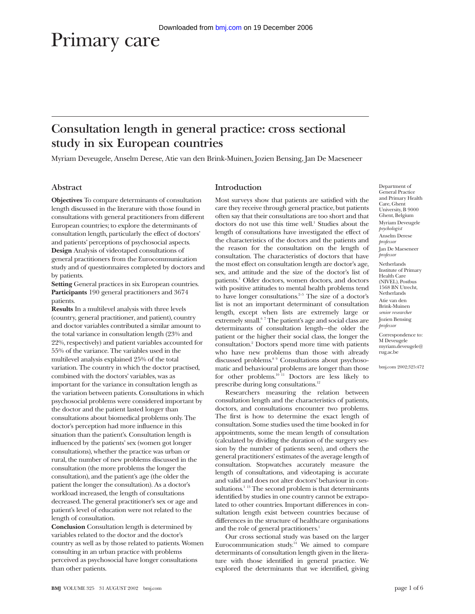# Primary care

# **Consultation length in general practice: cross sectional study in six European countries**

Myriam Deveugele, Anselm Derese, Atie van den Brink-Muinen, Jozien Bensing, Jan De Maeseneer

# **Abstract**

**Objectives** To compare determinants of consultation length discussed in the literature with those found in consultations with general practitioners from different European countries; to explore the determinants of consultation length, particularly the effect of doctors' and patients' perceptions of psychosocial aspects. **Design** Analysis of videotaped consultations of general practitioners from the Eurocommunication study and of questionnaires completed by doctors and by patients.

**Setting** General practices in six European countries. **Participants** 190 general practitioners and 3674 patients.

**Results** In a multilevel analysis with three levels (country, general practitioner, and patient), country and doctor variables contributed a similar amount to the total variance in consultation length (23% and 22%, respectively) and patient variables accounted for 55% of the variance. The variables used in the multilevel analysis explained 25% of the total variation. The country in which the doctor practised, combined with the doctors' variables, was as important for the variance in consultation length as the variation between patients. Consultations in which psychosocial problems were considered important by the doctor and the patient lasted longer than consultations about biomedical problems only. The doctor's perception had more influence in this situation than the patient's. Consultation length is influenced by the patients' sex (women got longer consultations), whether the practice was urban or rural, the number of new problems discussed in the consultation (the more problems the longer the consultation), and the patient's age (the older the patient the longer the consultation). As a doctor's workload increased, the length of consultations decreased. The general practitioner's sex or age and patient's level of education were not related to the length of consultation.

**Conclusion** Consultation length is determined by variables related to the doctor and the doctor's country as well as by those related to patients. Women consulting in an urban practice with problems perceived as psychosocial have longer consultations than other patients.

# **Introduction**

Most surveys show that patients are satisfied with the care they receive through general practice, but patients often say that their consultations are too short and that doctors do not use this time well.<sup>1</sup> Studies about the length of consultations have investigated the effect of the characteristics of the doctors and the patients and the reason for the consultation on the length of consultation. The characteristics of doctors that have the most effect on consultation length are doctor's age, sex, and attitude and the size of the doctor's list of patients.<sup>1</sup> Older doctors, women doctors, and doctors with positive attitudes to mental health problems tend to have longer consultations. $2-5$  The size of a doctor's list is not an important determinant of consultation length, except when lists are extremely large or extremely small.<sup>67</sup> The patient's age and social class are determinants of consultation length—the older the patient or the higher their social class, the longer the consultation.2 Doctors spend more time with patients who have new problems than those with already discussed problems.8 9 Consultations about psychosomatic and behavioural problems are longer than those for other problems.<sup>10 11</sup> Doctors are less likely to prescribe during long consultations.<sup>12</sup>

Researchers measuring the relation between consultation length and the characteristics of patients, doctors, and consultations encounter two problems. The first is how to determine the exact length of consultation. Some studies used the time booked in for appointments, some the mean length of consultation (calculated by dividing the duration of the surgery session by the number of patients seen), and others the general practitioners' estimates of the average length of consultation. Stopwatches accurately measure the length of consultations, and videotaping is accurate and valid and does not alter doctors' behaviour in consultations.<sup>1 13</sup> The second problem is that determinants identified by studies in one country cannot be extrapolated to other countries. Important differences in consultation length exist between countries because of differences in the structure of healthcare organisations and the role of general practitioners.<sup>1</sup>

Our cross sectional study was based on the larger Eurocommunication study.<sup>14</sup> We aimed to compare determinants of consultation length given in the literature with those identified in general practice. We explored the determinants that we identified, giving Department of General Practice and Primary Health Care, Ghent University, B 9000 Ghent, Belgium Myriam Deveugele *psychologist* Anselm Derese *professor* Jan De Maeseneer *professor* Netherlands

Institute of Primary Health Care (NIVEL), Postbus 1568 BN Utrecht, Netherlands Atie van den Brink-Muinen *senior researcher* Jozien Bensing *professor*

Correspondence to: M Deveugele myriam.deveugele@ rug.ac.be

bmj.com 2002;325:472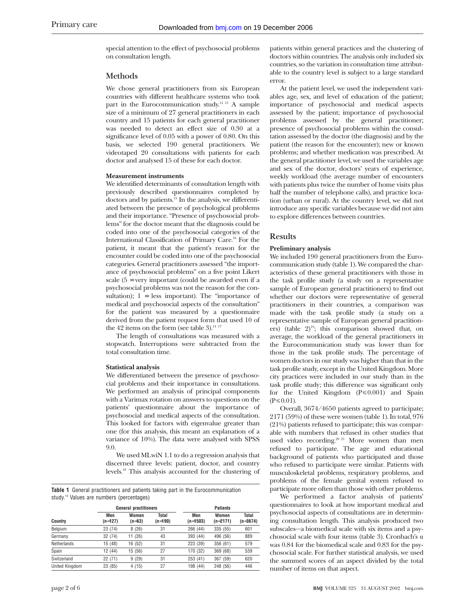special attention to the effect of psychosocial problems on consultation length.

#### **Methods**

We chose general practitioners from six European countries with different healthcare systems who took part in the Eurocommunication study.<sup>14 15</sup> A sample size of a minimum of 27 general practitioners in each country and 15 patients for each general practitioner was needed to detect an effect size of 0.30 at a significance level of 0.05 with a power of 0.80. On this basis, we selected 190 general practitioners. We videotaped 20 consultations with patients for each doctor and analysed 15 of these for each doctor.

#### **Measurement instruments**

We identified determinants of consultation length with previously described questionnaires completed by doctors and by patients.15 In the analysis, we differentiated between the presence of psychological problems and their importance. "Presence of psychosocial problems" for the doctor meant that the diagnosis could be coded into one of the psychosocial categories of the International Classification of Primary Care.16 For the patient, it meant that the patient's reason for the encounter could be coded into one of the psychosocial categories. General practitioners assessed "the importance of psychosocial problems" on a five point Likert scale (5 = very important (could be awarded even if a psychosocial problems was not the reason for the consultation);  $1 =$  less important). The "importance of medical and psychosocial aspects of the consultation" for the patient was measured by a questionnaire derived from the patient request form that used 10 of the 42 items on the form (see table 3). $^{14}$   $^{17}$ 

The length of consultations was measured with a stopwatch. Interruptions were subtracted from the total consultation time.

#### **Statistical analysis**

We differentiated between the presence of psychosocial problems and their importance in consultations. We performed an analysis of principal components with a Varimax rotation on answers to questions on the patients' questionnaire about the importance of psychosocial and medical aspects of the consultation. This looked for factors with eigenvalue greater than one (for this analysis, this meant an explanation of a variance of 10%). The data were analysed with SPSS 9.0.

We used MLwiN 1.1 to do a regression analysis that discerned three levels: patient, doctor, and country levels.18 This analysis accounted for the clustering of

**Table 1** General practitioners and patients taking part in the Eurocommunication study.<sup>14</sup> Values are numbers (percentages)

|                | <b>General practitioners</b> |                   |                  | <b>Patients</b>   |                     |                   |
|----------------|------------------------------|-------------------|------------------|-------------------|---------------------|-------------------|
| Country        | Men<br>$(n=127)$             | Women<br>$(n=63)$ | Total<br>(n=190) | Men<br>$(n=1503)$ | Women<br>$(n=2171)$ | Total<br>(n=3674) |
| Belgium        | 23 (74)                      | 8(26)             | 31               | 266 (44)          | 335 (55)            | 601               |
| Germany        | 32 (74)                      | 11 (26)           | 43               | 393 (44)          | 496 (56)            | 889               |
| Netherlands    | 15 (48)                      | 16 (52)           | 31               | 223 (39)          | 356 (61)            | 579               |
| Spain          | 12 (44)                      | 15 (56)           | 27               | 170 (32)          | 369 (68)            | 539               |
| Switzerland    | 22 (71)                      | 9(29)             | 31               | 253 (41)          | 367 (59)            | 620               |
| United Kingdom | 23 (85)                      | 4(15)             | 27               | 198 (44)          | 248 (56)            | 446               |

patients within general practices and the clustering of doctors within countries. The analysis only included six countries, so the variation in consultation time attributable to the country level is subject to a large standard error.

At the patient level, we used the independent variables age, sex, and level of education of the patient; importance of psychosocial and medical aspects assessed by the patient; importance of psychosocial problems assessed by the general practitioner; presence of psychosocial problems within the consultation assessed by the doctor (the diagnosis) and by the patient (the reason for the encounter); new or known problems; and whether medication was prescribed. At the general practitioner level, we used the variables age and sex of the doctor, doctors' years of experience, weekly workload (the average number of encounters with patients plus twice the number of home visits plus half the number of telephone calls), and practice location (urban or rural). At the country level, we did not introduce any specific variables because we did not aim to explore differences between countries.

## **Results**

#### **Preliminary analysis**

We included 190 general practitioners from the Eurocommunication study (table 1). We compared the characteristics of these general practitioners with those in the task profile study (a study on a representative sample of European general practitioners) to find out whether our doctors were representative of general practitioners in their countries, a comparison was made with the task profile study (a study on a representative sample of European general practitioners) (table  $2)^{19}$ ; this comparison showed that, on average, the workload of the general practitioners in the Eurocommunication study was lower than for those in the task profile study. The percentage of women doctors in our study was higher than that in the task profile study, except in the United Kingdom. More city practices were included in our study than in the task profile study; this difference was significant only for the United Kingdom  $(P \le 0.001)$  and Spain  $(P \le 0.01)$ .

Overall, 3674/4650 patients agreed to participate; 2171 (59%) of these were women (table 1). In total, 976 (21%) patients refused to participate; this was comparable with numbers that refused in other studies that used video recording.<sup>20 21</sup> More women than men refused to participate. The age and educational background of patients who participated and those who refused to participate were similar. Patients with musculoskeletal problems, respiratory problems, and problems of the female genital system refused to participate more often than those with other problems.

We performed a factor analysis of patients' questionnaires to look at how important medical and psychosocial aspects of consultations are in determining consultation length. This analysis produced two subscales—a biomedical scale with six items and a psychosocial scale with four items (table 3). Cronbach's  $\alpha$ was 0.84 for the biomedical scale and 0.83 for the psychosocial scale. For further statistical analysis, we used the summed scores of an aspect divided by the total number of items on that aspect.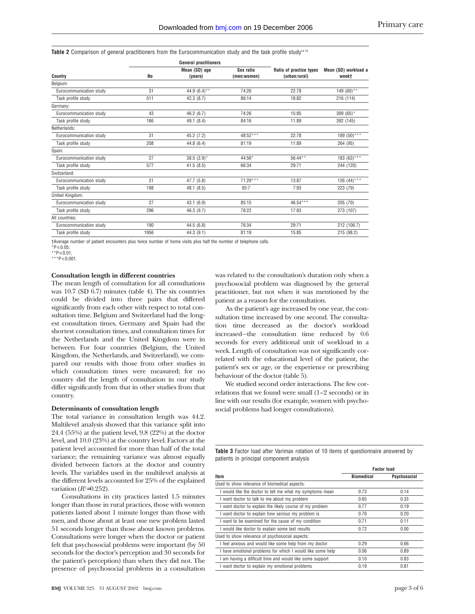Table 2 Comparison of general practitioners from the Eurocommunication study and the task profile study<sup>1419</sup>

|                         |           | <b>General practitioners</b> |                          |                                          |                               |
|-------------------------|-----------|------------------------------|--------------------------|------------------------------------------|-------------------------------|
| Country                 | <b>No</b> | Mean (SD) age<br>(years)     | Sex ratio<br>(men:women) | Ratio of practice types<br>(urban:rural) | Mean (SD) workload a<br>week† |
| Belgium:                |           |                              |                          |                                          |                               |
| Eurocommunication study | 31        | 44.9 $(6.4)$ **              | 74:26                    | 22:78                                    | 149 (60) $*$                  |
| Task profile study      | 511       | 42.3(8.7)                    | 86:14                    | 18:82                                    | 216 (114)                     |
| Germany:                |           |                              |                          |                                          |                               |
| Eurocommunication study | 43        | 46.2(6.7)                    | 74:26                    | 15:85                                    | $309(65)^*$                   |
| Task profile study      | 166       | 49.1 (8.4)                   | 84:16                    | 11:89                                    | 392 (145)                     |
| Netherlands:            |           |                              |                          |                                          |                               |
| Eurocommunication study | 31        | 45.2 (7.2)                   | 48:52***                 | 22:78                                    | 189 (50) ***                  |
| Task profile study      | 208       | 44.8 (6.4)                   | 81:19                    | 11:89                                    | 264 (95)                      |
| Spain:                  |           |                              |                          |                                          |                               |
| Eurocommunication study | 27        | $38.5(3.9)^*$                | 44:56*                   | 56:44**                                  | 183 (63)***                   |
| Task profile study      | 577       | 41.5(8.5)                    | 66:34                    | 29:71                                    | 244 (120)                     |
| Switzerland:            |           |                              |                          |                                          |                               |
| Eurocommunication study | 31        | 47.7 (5.8)                   | 71:29***                 | 13:87                                    | 126 (44)***                   |
| Task profile study      | 198       | 48.1 (8.5)                   | 93:7                     | 7:93                                     | 223 (79)                      |
| United Kingdom:         |           |                              |                          |                                          |                               |
| Eurocommunication study | 27        | 43.1(6.9)                    | 85:15                    | 46:54***                                 | 205 (70)                      |
| Task profile study      | 296       | 46.3 (9.7)                   | 78:22                    | 17:83                                    | 273 (107)                     |
| All countries:          |           |                              |                          |                                          |                               |
| Eurocommunication study | 190       | 44.5 (6.8)                   | 76:34                    | 29:71                                    | 212 (106.7)                   |
| Task profile study      | 1956      | 44.3 (9.1)                   | 81:19                    | 15:85                                    | 215 (98.2)                    |

†Average number of patient encounters plus twice number of home visits plus half the number of telephone calls.

.<br>\*P≤0.05:

 $*$   $P$  < 0.01;

\*\*\*P $\leq 0.001$ .

#### **Consultation length in different countries**

The mean length of consultation for all consultations was 10.7 (SD 6.7) minutes (table 4). The six countries could be divided into three pairs that differed significantly from each other with respect to total consultation time. Belgium and Switzerland had the longest consultation times, Germany and Spain had the shortest consultation times, and consultation times for the Netherlands and the United Kingdom were in between. For four countries (Belgium, the United Kingdom, the Netherlands, and Switzerland), we compared our results with those from other studies in which consultation times were measured; for no country did the length of consultation in our study differ significantly from that in other studies from that country.

#### **Determinants of consultation length**

The total variance in consultation length was 44.2. Multilevel analysis showed that this variance split into 24.4 (55%) at the patient level, 9.8 (22%) at the doctor level, and 10.0 (23%) at the country level. Factors at the patient level accounted for more than half of the total variance; the remaining variance was almost equally divided between factors at the doctor and country levels. The variables used in the multilevel analysis at the different levels accounted for 25% of the explained variation  $(R^2=0.252)$ .

Consultations in city practices lasted 1.5 minutes longer than those in rural practices, those with women patients lasted about 1 minute longer than those with men, and those about at least one new problem lasted 51 seconds longer than those about known problems. Consultations were longer when the doctor or patient felt that psychosocial problems were important (by 50 seconds for the doctor's perception and 30 seconds for the patient's perception) than when they did not. The presence of psychosocial problems in a consultation

**BMJ** VOLUME 325 31 AUGUST 2002 bmj.com page 3 of 6

was related to the consultation's duration only when a psychosocial problem was diagnosed by the general practitioner, but not when it was mentioned by the patient as a reason for the consultation.

As the patient's age increased by one year, the consultation time increased by one second. The consultation time decreased as the doctor's workload increased—the consultation time reduced by 0.6 seconds for every additional unit of workload in a week. Length of consultation was not significantly correlated with the educational level of the patient, the patient's sex or age, or the experience or prescribing behaviour of the doctor (table 5).

We studied second order interactions. The few correlations that we found were small (1–2 seconds) or in line with our results (for example, women with psychosocial problems had longer consultations).

**Table 3** Factor load after Varimax rotation of 10 items of questionnaire answered by patients in principal component analysis

|                                                            | <b>Factor load</b> |              |  |
|------------------------------------------------------------|--------------------|--------------|--|
| Item                                                       | <b>Biomedical</b>  | Psychosocial |  |
| Used to show relevance of biomedical aspects:              |                    |              |  |
| I would like the doctor to tell me what my symptoms mean   | 0.73               | 0.14         |  |
| I want doctor to talk to me about my problem               | 0.65               | 0.33         |  |
| I want doctor to explain the likely course of my problem   | 0.77               | 0.19         |  |
| I want doctor to explain how serious my problem is         | 0.76               | 0.20         |  |
| I want to be examined for the cause of my condition        | 0.71               | 0.11         |  |
| I would like doctor to explain some test results           | 0.72               | 0.00         |  |
| Used to show relevance of psychosocial aspects:            |                    |              |  |
| I feel anxious and would like some help from my doctor     | 0.29               | 0.66         |  |
| I have emotional problems for which I would like some help | 0.06               | 0.89         |  |
| I am having a difficult time and would like some support   | 0.10               | 0.83         |  |
| I want doctor to explain my emotional problems             | 0.19               | 0.81         |  |
|                                                            |                    |              |  |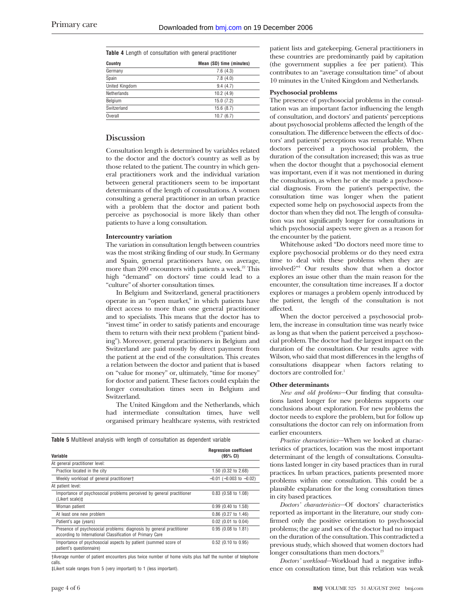**Table 4** Length of consultation with general practitioner

| Country            | Mean (SD) time (minutes) |
|--------------------|--------------------------|
| Germany            | 7.6(4.3)                 |
| Spain              | 7.8(4.0)                 |
| United Kingdom     | 9.4(4.7)                 |
| <b>Netherlands</b> | 10.2(4.9)                |
| Belgium            | 15.0(7.2)                |
| Switzerland        | 15.6(8.7)                |
| Overall            | 10.7(6.7)                |

# **Discussion**

Consultation length is determined by variables related to the doctor and the doctor's country as well as by those related to the patient. The country in which general practitioners work and the individual variation between general practitioners seem to be important determinants of the length of consultations. A women consulting a general practitioner in an urban practice with a problem that the doctor and patient both perceive as psychosocial is more likely than other patients to have a long consultation.

#### **Intercountry variation**

The variation in consultation length between countries was the most striking finding of our study. In Germany and Spain, general practitioners have, on average, more than 200 encounters with patients a week.<sup>22</sup> This high "demand" on doctors' time could lead to a "culture" of shorter consultation times.

In Belgium and Switzerland, general practitioners operate in an "open market," in which patients have direct access to more than one general practitioner and to specialists. This means that the doctor has to "invest time" in order to satisfy patients and encourage them to return with their next problem ("patient binding"). Moreover, general practitioners in Belgium and Switzerland are paid mostly by direct payment from the patient at the end of the consultation. This creates a relation between the doctor and patient that is based on "value for money" or, ultimately, "time for money" for doctor and patient. These factors could explain the longer consultation times seen in Belgium and Switzerland.

The United Kingdom and the Netherlands, which had intermediate consultation times, have well organised primary healthcare systems, with restricted

**Table 5** Multilevel analysis with length of consultation as dependent variable

| Variable                                                                                                                          | <b>Regression coefficient</b><br>(95% CI) |
|-----------------------------------------------------------------------------------------------------------------------------------|-------------------------------------------|
| At general practitioner level:                                                                                                    |                                           |
| Practice located in the city                                                                                                      | 1.50 (0.32 to 2.68)                       |
| Weekly workload of general practitioner†                                                                                          | $-0.01$ ( $-0.003$ to $-0.02$ )           |
| At patient level:                                                                                                                 |                                           |
| Importance of psychosocial problems perceived by general practitioner<br>(Likert scale)‡                                          | $0.83$ (0.58 to 1.08)                     |
| Woman patient                                                                                                                     | $0.99$ (0.40 to 1.58)                     |
| At least one new problem                                                                                                          | $0.86$ (0.27 to 1.46)                     |
| Patient's age (years)                                                                                                             | $0.02$ (0.01 to 0.04)                     |
| Presence of psychosocial problems: diagnosis by general practitioner<br>according to International Classification of Primary Care | $0.95$ (0.08 to 1.81)                     |
| Importance of psychosocial aspects by patient (summed score of<br>patient's questionnaire)                                        | 0.52 (0.10 to 0.95)                       |

†Average number of patient encounters plus twice number of home visits plus half the number of telephone calls.

‡Likert scale ranges from 5 (very important) to 1 (less important).

patient lists and gatekeeping. General practitioners in these countries are predominantly paid by capitation (the government supplies a fee per patient). This contributes to an "average consultation time" of about 10 minutes in the United Kingdom and Netherlands.

## **Psychosocial problems**

The presence of psychosocial problems in the consultation was an important factor influencing the length of consultation, and doctors' and patients' perceptions about psychosocial problems affected the length of the consultation. The difference between the effects of doctors' and patients' perceptions was remarkable. When doctors perceived a psychosocial problem, the duration of the consultation increased; this was as true when the doctor thought that a psychosocial element was important, even if it was not mentioned in during the consultation, as when he or she made a psychosocial diagnosis. From the patient's perspective, the consultation time was longer when the patient expected some help on psychosocial aspects from the doctor than when they did not. The length of consultation was not significantly longer for consultations in which psychosocial aspects were given as a reason for the encounter by the patient.

Whitehouse asked "Do doctors need more time to explore psychosocial problems or do they need extra time to deal with these problems when they are involved?"4 Our results show that when a doctor explores an issue other than the main reason for the encounter, the consultation time increases. If a doctor explores or manages a problem openly introduced by the patient, the length of the consultation is not affected.

When the doctor perceived a psychosocial problem, the increase in consultation time was nearly twice as long as that when the patient perceived a psychosocial problem. The doctor had the largest impact on the duration of the consultation. Our results agree with Wilson, who said that most differences in the lengths of consultations disappear when factors relating to doctors are controlled for.<sup>1</sup>

#### **Other determinants**

*New and old problems*—Our finding that consultations lasted longer for new problems supports our conclusions about exploration. For new problems the doctor needs to explore the problem, but for follow up consultations the doctor can rely on information from earlier encounters.

*Practice characteristics*—When we looked at characteristics of practices, location was the most important determinant of the length of consultations. Consultations lasted longer in city based practices than in rural practices. In urban practices, patients presented more problems within one consultation. This could be a plausible explanation for the long consultation times in city based practices.

*Doctors' characteristics*—Of doctors' characteristics reported as important in the literature, our study confirmed only the positive orientation to psychosocial problems; the age and sex of the doctor had no impact on the duration of the consultation. This contradicted a previous study, which showed that women doctors had longer consultations than men doctors.<sup>23</sup>

*Doctors' workload*—Workload had a negative influence on consultation time, but this relation was weak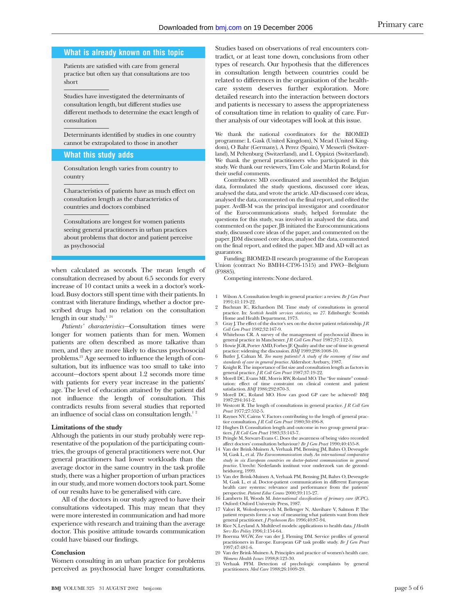#### **What is already known on this topic**

Patients are satisfied with care from general practice but often say that consultations are too short

Studies have investigated the determinants of consultation length, but different studies use different methods to determine the exact length of consultation

Determinants identified by studies in one country cannot be extrapolated to those in another

## **What this study adds**

Consultation length varies from country to country

Characteristics of patients have as much effect on consultation length as the characteristics of countries and doctors combined

Consultations are longest for women patients seeing general practitioners in urban practices about problems that doctor and patient perceive as psychosocial

when calculated as seconds. The mean length of consultation decreased by about 6.5 seconds for every increase of 10 contact units a week in a doctor's workload. Busy doctors still spent time with their patients. In contrast with literature findings, whether a doctor prescribed drugs had no relation on the consultation length in our study.<sup>1 24</sup>

*Patients' characteristics*—Consultation times were longer for women patients than for men. Women patients are often described as more talkative than men, and they are more likely to discuss psychosocial problems.23 Age seemed to influence the length of consultation, but its influence was too small to take into account—doctors spent about 1.2 seconds more time with patients for every year increase in the patients' age. The level of education attained by the patient did not influence the length of consultation. This contradicts results from several studies that reported an influence of social class on consultation length. $1^2$ 

#### **Limitations of the study**

Although the patients in our study probably were representative of the population of the participating countries, the groups of general practitioners were not. Our general practitioners had lower workloads than the average doctor in the same country in the task profile study, there was a higher proportion of urban practices in our study, and more women doctors took part. Some of our results have to be generalised with care.

All of the doctors in our study agreed to have their consultations videotaped. This may mean that they were more interested in communication and had more experience with research and training than the average doctor. This positive attitude towards communication could have biased our findings.

#### **Conclusion**

Women consulting in an urban practice for problems perceived as psychosocial have longer consultations.

Studies based on observations of real encounters contradict, or at least tone down, conclusions from other types of research. Our hypothesis that the differences in consultation length between countries could be related to differences in the organisation of the healthcare system deserves further exploration. More detailed research into the interaction between doctors and patients is necessary to assess the appropriateness of consultation time in relation to quality of care. Further analysis of our videotapes will look at this issue.

We thank the national coordinators for the BIOMED programme: L Gask (United Kingdom), N Mead (United Kingdom), O Bahr (Germany), A Perez (Spain), V Messerli (Switzerland), M Peltenburg (Switzerland), and L Oppizzi (Switzerland). We thank the general practitioners who participated in this study. We thank our reviewers, Tim Cole and Martin Roland, for their useful comments.

Contributors: MD coordinated and assembled the Belgian data, formulated the study questions, discussed core ideas, analysed the data, and wrote the article. AD discussed core ideas, analysed the data, commented on the final report, and edited the paper. AvdB-M was the principal investigator and coordinator of the Eurocommunications study, helped formulate the questions for this study, was involved in analysed the data, and commented on the paper. JB initiated the Eurocommunications study, discussed core ideas of the paper, and commented on the paper. JDM discussed core ideas, analysed the data, commented on the final report, and edited the paper. MD and AD will act as guarantors.

Funding: BIOMED-II research programme of the European Union (contract No BMH4-CT96-1515) and FWO—Belgium (F9885).

Competing interests: None declared.

- 1 Wilson A. Consultation length in general practice: a review. *Br J Gen Pract* 1991;41:119-22.
- 2 Buchnan IC, Richardson IM. Time study of consultations in general practice. In: *Scottish health services statistics, no 27*. Edinburgh: Scottish Home and Health Department, 1973.
- 3 Gray J. The effect of the doctor's sex on the doctor patient relationship. *J R Coll Gen Pract* 1982;32:167-9.
- 4 Whitehous CR. A survey of the management of psychosocial illness in general practice in Manchester. *J R Coll Gen Pract* 1987;37:112-5. 5 Howie JGR, Porter AMD, Forbes JF. Quality and the use of time in general
- practice: widening the discussion. *BMJ* 1989;298:1008-10. 6 Butler J, Calnan M. *Too many patients? A study of the economy of time and standards of care in general practice.* Aldershot: Avebury, 1987.
- 
- 7 Knight R. The importance of list size and consultation length as factors in general practice. *J R Coll Gen Pract* 1987;37:19-22. 8 Morell DC, Evans ME, Morris RW, Roland MO. The "five minute" consul-
- tation: effect of time constraint on clinical content and patient satisfaction. *BMJ* 1986;292:870-3. Morell DC, Roland MO. How can good GP care be achieved? BMJ
- 1987;294:161-2. 10 Westcott R. The length of consultations in general practice. *J R Coll Gen Pract* 1977;27:552-5.
- 11 Raynes NV, Cairns V. Factors contributing to the length of general prac-
- tice consultation. *J R Coll Gen Pract* 1980;30:496-8.<br>12 Hughes D. Consultation length and outcome in two group general prac-<br>tices. *J R Coll Gen Pract* 1983;33:143-7.
- 13 Pringle M, Stewart-Evans C. Does the awareness of being video recorded affect doctors' consultation behaviour? *Br J Gen Pract* 1990;40:455-8.
- 14 Van der Brink-Muinen A, Verhaak PM, Bensing JM, Bahrs O, Deveugele M, Gask L, et al. *The Eurocommunication study. An international comparative study in six European countries on doctor-patient communication in general practice.* Utrecht: Nederlands instituut voor onderzoek van de gezondheidszorg, 1999.
- 15 Van der Brink-Muinen A, Verhaak PM, Bensing JM, Bahrs O, Deveugele M, Gask L, et al. Doctor-patient communication in different European health care systems: relevance and performance from the patients'
- perspective. *Patient Educ Couns* 2000;39:115-27. 16 Lamberts H, Woods M. *International classification of primary care (ICPC)*. Oxford: Oxford University Press, 1987.
- 17 Valori R, Woloshynowych M, Bellenger N, Aluvihare V, Salmon P. The patient requests form: a way of measuring what patients want from their<br>general practitioner. *J Psychosom Res* 1996;40:87-94.<br>18 Rice N, Leyland A. Multilevel models: applications to health data. *J Health*
- *Serv Res Policy* 1996;1:154-64.
- 19 Boerma WGW, Zee van der J, Fleming DM. Service profiles of general practitioners in Europe. European GP task profile study. *Br J Gen Pract* 1997;47:481-6.
- 20 Van der Brink-Muinen A. Principles and practice of women's health care. *Womens Health Issues* 1998;8:123-30.
- 21 Verhaak PFM. Detection of psychologic complaints by general practitioners. *Med Care* 1988;26:1009-20.